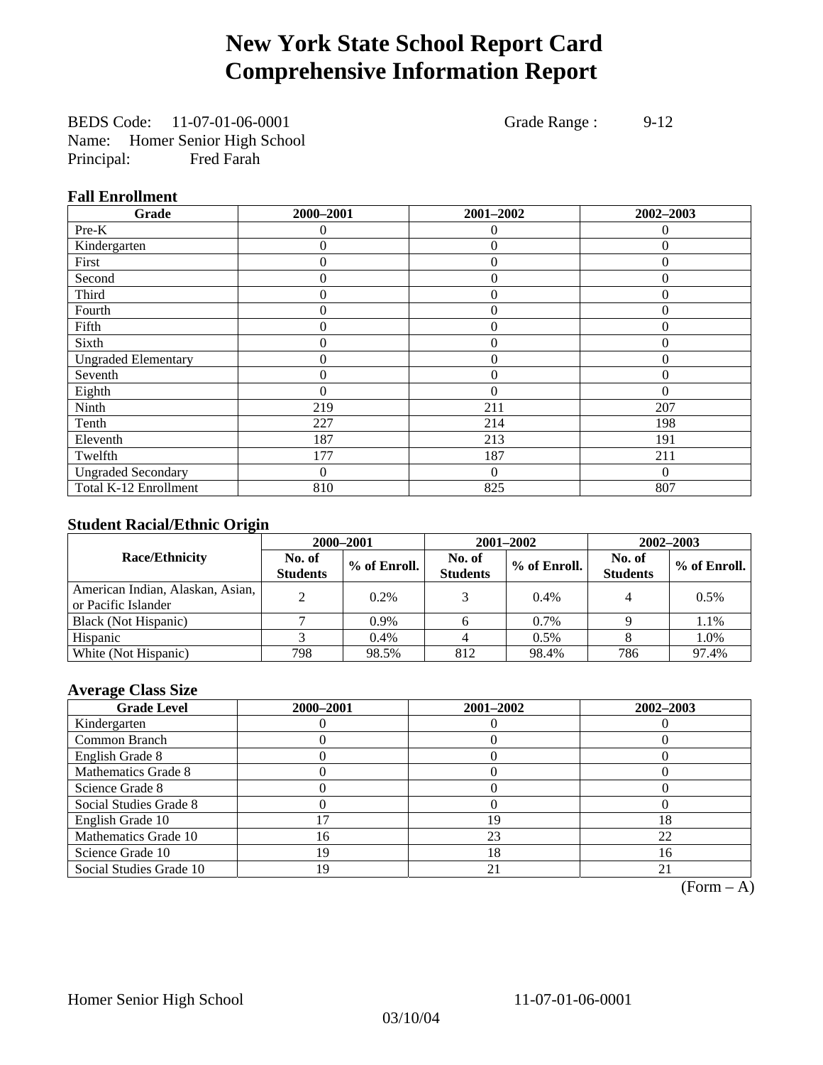## **New York State School Report Card Comprehensive Information Report**

BEDS Code: 11-07-01-06-0001 Grade Range : 9-12 Name: Homer Senior High School Principal: Fred Farah

#### **Fall Enrollment**

| Grade                      | 2000-2001 | 2001-2002      | 2002-2003 |
|----------------------------|-----------|----------------|-----------|
| Pre-K                      | $\Omega$  | $\theta$       | $\Omega$  |
| Kindergarten               | $\theta$  | $\overline{0}$ | $\Omega$  |
| First                      | $\Omega$  | $\theta$       | $\Omega$  |
| Second                     | 0         | $\theta$       | $\Omega$  |
| Third                      | 0         | $\theta$       | 0         |
| Fourth                     | 0         | $\overline{0}$ | 0         |
| Fifth                      | 0         | $\theta$       | $\Omega$  |
| Sixth                      | 0         | $\Omega$       | $\Omega$  |
| <b>Ungraded Elementary</b> | 0         | $\theta$       | $\Omega$  |
| Seventh                    | 0         | $\overline{0}$ | $\theta$  |
| Eighth                     | $\theta$  | $\theta$       | $\Omega$  |
| Ninth                      | 219       | 211            | 207       |
| Tenth                      | 227       | 214            | 198       |
| Eleventh                   | 187       | 213            | 191       |
| Twelfth                    | 177       | 187            | 211       |
| <b>Ungraded Secondary</b>  | 0         | $\Omega$       | $\Omega$  |
| Total K-12 Enrollment      | 810       | 825            | 807       |

### **Student Racial/Ethnic Origin**

|                                                         |                           | 2001-2002<br>2002-2003<br>2000-2001 |                           |              |                           |                |
|---------------------------------------------------------|---------------------------|-------------------------------------|---------------------------|--------------|---------------------------|----------------|
| <b>Race/Ethnicity</b>                                   | No. of<br><b>Students</b> | % of Enroll.                        | No. of<br><b>Students</b> | % of Enroll. | No. of<br><b>Students</b> | $%$ of Enroll. |
| American Indian, Alaskan, Asian,<br>or Pacific Islander |                           | 0.2%                                |                           | 0.4%         |                           | 0.5%           |
| Black (Not Hispanic)                                    |                           | $0.9\%$                             |                           | 0.7%         |                           | 1.1%           |
| Hispanic                                                |                           | 0.4%                                |                           | 0.5%         |                           | 1.0%           |
| White (Not Hispanic)                                    | 798                       | 98.5%                               | 812                       | 98.4%        | 786                       | 97.4%          |

### **Average Class Size**

| <b>Grade Level</b>      | 2000-2001 | 2001-2002 | 2002-2003 |
|-------------------------|-----------|-----------|-----------|
| Kindergarten            |           |           |           |
| Common Branch           |           |           |           |
| English Grade 8         |           |           |           |
| Mathematics Grade 8     |           |           |           |
| Science Grade 8         |           |           |           |
| Social Studies Grade 8  |           |           |           |
| English Grade 10        |           | 19        | 18        |
| Mathematics Grade 10    | 16        | 23        | 22        |
| Science Grade 10        | 19        | 18        | 16        |
| Social Studies Grade 10 | 19        | 21        | 21        |

 $(Form – A)$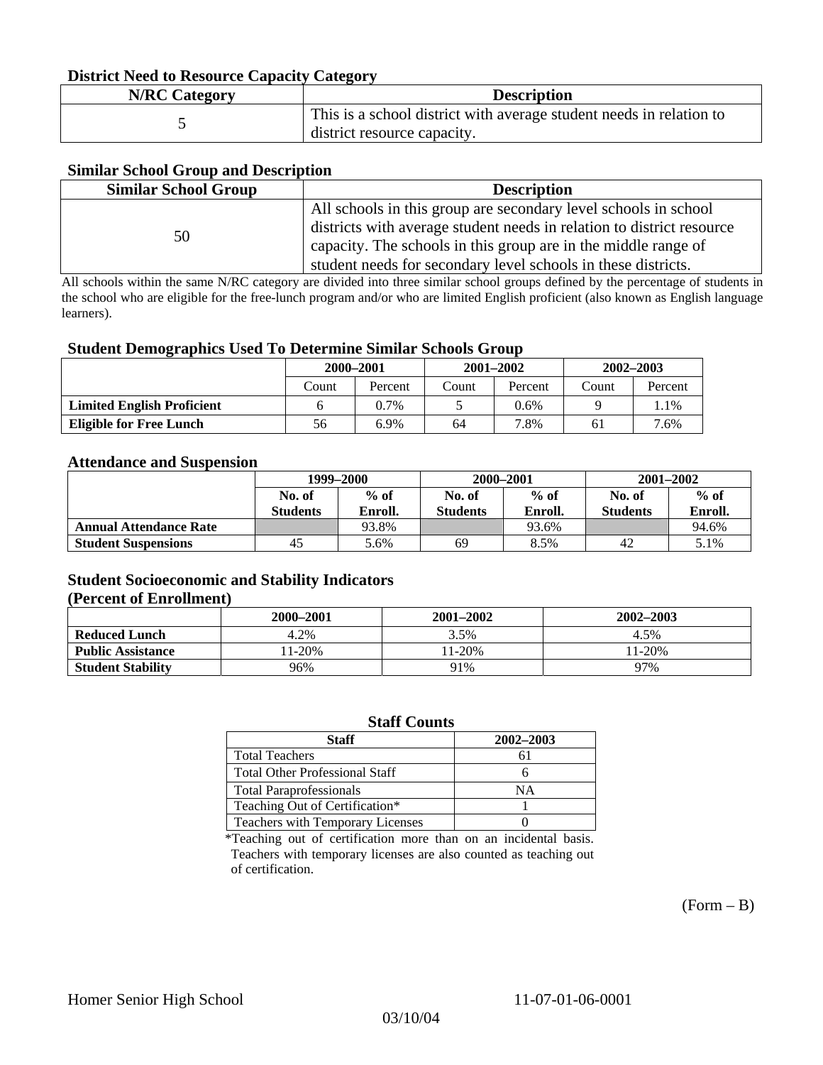#### **District Need to Resource Capacity Category**

| <b>N/RC Category</b> | <b>Description</b>                                                                                 |
|----------------------|----------------------------------------------------------------------------------------------------|
|                      | This is a school district with average student needs in relation to<br>district resource capacity. |

#### **Similar School Group and Description**

| <b>Similar School Group</b> | <b>Description</b>                                                    |
|-----------------------------|-----------------------------------------------------------------------|
|                             | All schools in this group are secondary level schools in school       |
| 50                          | districts with average student needs in relation to district resource |
|                             | capacity. The schools in this group are in the middle range of        |
|                             | student needs for secondary level schools in these districts.         |

All schools within the same N/RC category are divided into three similar school groups defined by the percentage of students in the school who are eligible for the free-lunch program and/or who are limited English proficient (also known as English language learners).

#### **Student Demographics Used To Determine Similar Schools Group**

| . .                               | 2000-2001 |         |       | $2001 - 2002$ | $2002 - 2003$ |         |
|-----------------------------------|-----------|---------|-------|---------------|---------------|---------|
|                                   | Count     | Percent | Count | Percent       | Count         | Percent |
| <b>Limited English Proficient</b> |           | $0.7\%$ |       | 0.6%          |               | 1.1%    |
| <b>Eligible for Free Lunch</b>    | 56        | 6.9%    | 64    | 7.8%          | 61            | 7.6%    |

#### **Attendance and Suspension**

|                               | 1999–2000       |         |                 | 2000-2001 | $2001 - 2002$   |         |
|-------------------------------|-----------------|---------|-----------------|-----------|-----------------|---------|
|                               | No. of          | $%$ of  | No. of          | $%$ of    | No. of          | $%$ of  |
|                               | <b>Students</b> | Enroll. | <b>Students</b> | Enroll.   | <b>Students</b> | Enroll. |
| <b>Annual Attendance Rate</b> |                 | 93.8%   |                 | 93.6%     |                 | 94.6%   |
| <b>Student Suspensions</b>    | 45              | 5.6%    | 69              | 8.5%      | 42              | 5.1%    |

#### **Student Socioeconomic and Stability Indicators (Percent of Enrollment)**

|                          | 2000–2001 | 2001-2002 | 2002-2003 |
|--------------------------|-----------|-----------|-----------|
| <b>Reduced Lunch</b>     | 4.2%      | 3.5%      | 4.5%      |
| <b>Public Assistance</b> | $1-20%$   | $1-20%$   | $11-20%$  |
| <b>Student Stability</b> | 96%       | 91%       | 97%       |

#### **Staff Counts**

| Staff                                 | 2002-2003 |
|---------------------------------------|-----------|
| <b>Total Teachers</b>                 |           |
| <b>Total Other Professional Staff</b> |           |
| <b>Total Paraprofessionals</b>        | NΑ        |
| Teaching Out of Certification*        |           |
| Teachers with Temporary Licenses      |           |

\*Teaching out of certification more than on an incidental basis. Teachers with temporary licenses are also counted as teaching out of certification.

 $(Form - B)$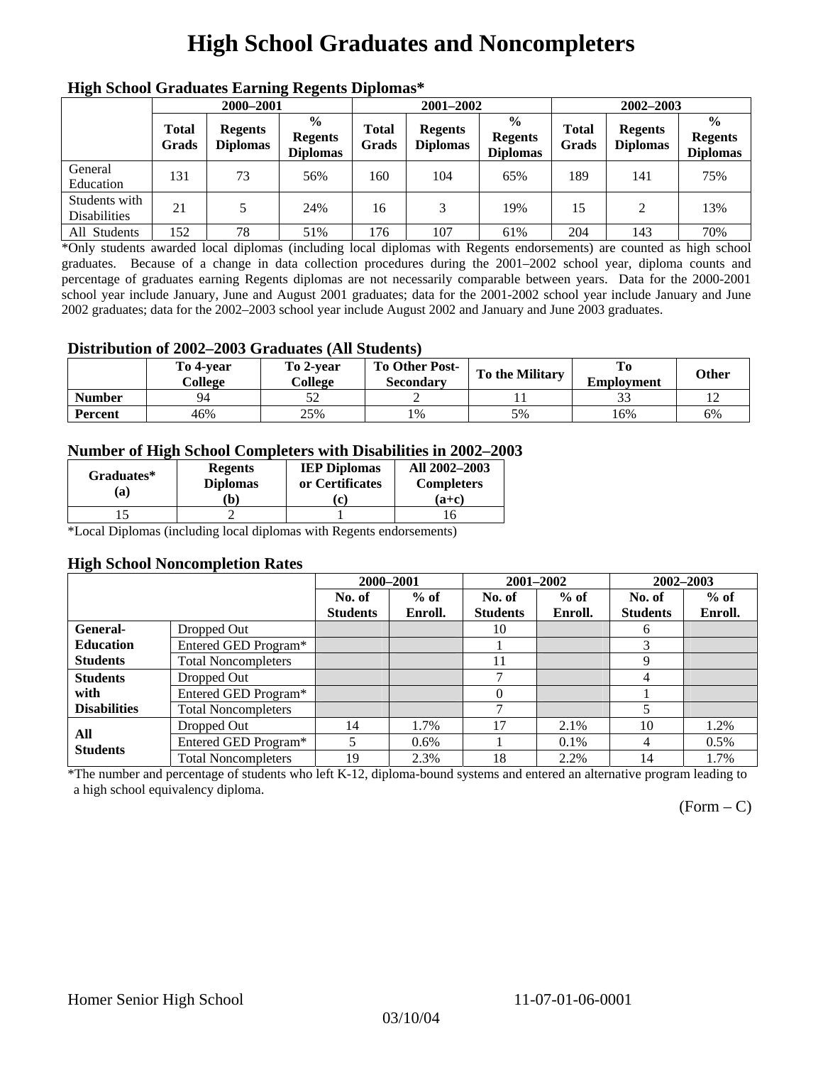## **High School Graduates and Noncompleters**

| ніді эспол этайнакі патінід кеденія вірюшая |                       |                                   |                                                    |                       |                                   |                                                    |                       |                                   |                                                    |  |
|---------------------------------------------|-----------------------|-----------------------------------|----------------------------------------------------|-----------------------|-----------------------------------|----------------------------------------------------|-----------------------|-----------------------------------|----------------------------------------------------|--|
|                                             | 2000-2001             |                                   |                                                    |                       | 2001-2002                         |                                                    |                       | 2002-2003                         |                                                    |  |
|                                             | <b>Total</b><br>Grads | <b>Regents</b><br><b>Diplomas</b> | $\frac{6}{9}$<br><b>Regents</b><br><b>Diplomas</b> | <b>Total</b><br>Grads | <b>Regents</b><br><b>Diplomas</b> | $\frac{6}{6}$<br><b>Regents</b><br><b>Diplomas</b> | <b>Total</b><br>Grads | <b>Regents</b><br><b>Diplomas</b> | $\frac{0}{0}$<br><b>Regents</b><br><b>Diplomas</b> |  |
| General<br>Education                        | 131                   | 73                                | 56%                                                | 160                   | 104                               | 65%                                                | 189                   | 141                               | 75%                                                |  |
| Students with<br><b>Disabilities</b>        | 21                    |                                   | 24%                                                | 16                    | 3                                 | 19%                                                | 15                    | $\mathfrak{D}$                    | 13%                                                |  |
| All Students                                | 152                   | 78                                | 51%                                                | 176                   | 107                               | 61%                                                | 204                   | 143                               | 70%                                                |  |

### **High School Graduates Earning Regents Diplomas\***

\*Only students awarded local diplomas (including local diplomas with Regents endorsements) are counted as high school graduates. Because of a change in data collection procedures during the 2001–2002 school year, diploma counts and percentage of graduates earning Regents diplomas are not necessarily comparable between years. Data for the 2000-2001 school year include January, June and August 2001 graduates; data for the 2001-2002 school year include January and June 2002 graduates; data for the 2002–2003 school year include August 2002 and January and June 2003 graduates.

#### **Distribution of 2002–2003 Graduates (All Students)**

|               | To 4-vear<br>College | To 2-vear<br>College | <b>To Other Post-</b><br>Secondary | <b>To the Military</b> | To<br><b>Employment</b> | <b>Other</b> |
|---------------|----------------------|----------------------|------------------------------------|------------------------|-------------------------|--------------|
| <b>Number</b> | QΔ                   |                      |                                    |                        |                         |              |
| Percent       | 46%                  | 25%                  | 1%                                 | 5%                     | 16%                     | 6%           |

#### **Number of High School Completers with Disabilities in 2002–2003**

| Graduates*<br>(a) | <b>Regents</b><br><b>Diplomas</b> | <b>IEP Diplomas</b><br>or Certificates | All 2002-2003<br><b>Completers</b> |  |
|-------------------|-----------------------------------|----------------------------------------|------------------------------------|--|
|                   | b)                                |                                        | $(a+c)$                            |  |
|                   |                                   |                                        |                                    |  |

\*Local Diplomas (including local diplomas with Regents endorsements)

#### **High School Noncompletion Rates**

| . .                 |                            | 2000-2001       |         | 2001-2002       |         | 2002-2003       |         |
|---------------------|----------------------------|-----------------|---------|-----------------|---------|-----------------|---------|
|                     |                            | No. of          | $%$ of  | No. of          | $%$ of  | No. of          | $%$ of  |
|                     |                            | <b>Students</b> | Enroll. | <b>Students</b> | Enroll. | <b>Students</b> | Enroll. |
| <b>General-</b>     | Dropped Out                |                 |         | 10              |         | 6               |         |
| <b>Education</b>    | Entered GED Program*       |                 |         |                 |         | 3               |         |
| <b>Students</b>     | <b>Total Noncompleters</b> |                 |         | 11              |         | Q               |         |
| <b>Students</b>     | Dropped Out                |                 |         | ⇁               |         | 4               |         |
| with                | Entered GED Program*       |                 |         | $\theta$        |         |                 |         |
| <b>Disabilities</b> | <b>Total Noncompleters</b> |                 |         | ┑               |         |                 |         |
| All                 | Dropped Out                | 14              | 1.7%    | 17              | 2.1%    | 10              | 1.2%    |
| <b>Students</b>     | Entered GED Program*       | 5               | $0.6\%$ |                 | $0.1\%$ | 4               | $0.5\%$ |
|                     | <b>Total Noncompleters</b> | 19              | 2.3%    | 18              | 2.2%    | 14              | 1.7%    |

\*The number and percentage of students who left K-12, diploma-bound systems and entered an alternative program leading to a high school equivalency diploma.

 $(Form - C)$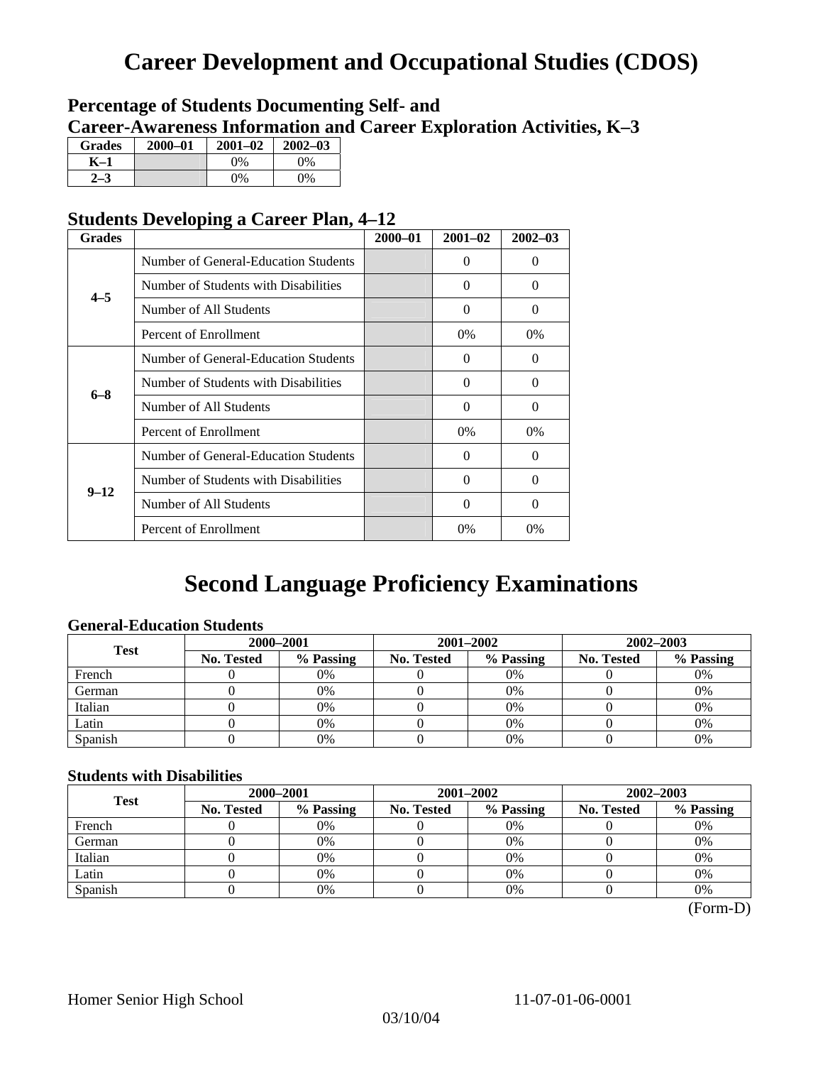## **Career Development and Occupational Studies (CDOS)**

### **Percentage of Students Documenting Self- and Career-Awareness Information and Career Exploration Activities, K–3**

| <b>Grades</b> | 2000-01 | $2001 - 02$ | $2002 - 03$ |
|---------------|---------|-------------|-------------|
| K–1           |         | $0\%$       | $0\%$       |
|               |         | $0\%$       | $0\%$       |

### **Students Developing a Career Plan, 4–12**

| <b>Grades</b> |                                      | $2000 - 01$ | $2001 - 02$ | $2002 - 03$ |
|---------------|--------------------------------------|-------------|-------------|-------------|
|               | Number of General-Education Students |             | 0           | $\Omega$    |
| $4 - 5$       | Number of Students with Disabilities |             | 0           | $\Omega$    |
|               | Number of All Students               |             | 0           | $\Omega$    |
|               | Percent of Enrollment                |             | 0%          | $0\%$       |
|               | Number of General-Education Students |             | 0           | 0           |
|               | Number of Students with Disabilities |             | $\Omega$    | $\Omega$    |
| $6 - 8$       | Number of All Students               |             | $\theta$    | $\Omega$    |
|               | Percent of Enrollment                |             | $0\%$       | $0\%$       |
|               | Number of General-Education Students |             | 0           | $\Omega$    |
| $9 - 12$      | Number of Students with Disabilities |             | 0           | $\Omega$    |
|               | Number of All Students               |             | $\Omega$    | $\Omega$    |
|               | Percent of Enrollment                |             | $0\%$       | 0%          |

## **Second Language Proficiency Examinations**

### **General-Education Students**

| <b>Test</b> | 2000-2001         |           |            | 2001-2002 | 2002-2003         |           |  |
|-------------|-------------------|-----------|------------|-----------|-------------------|-----------|--|
|             | <b>No. Tested</b> | % Passing | No. Tested | % Passing | <b>No. Tested</b> | % Passing |  |
| French      |                   | 0%        |            | $0\%$     |                   | 0%        |  |
| German      |                   | 0%        |            | 0%        |                   | 0%        |  |
| Italian     |                   | 0%        |            | 0%        |                   | 0%        |  |
| Latin       |                   | 0%        |            | 0%        |                   | 0%        |  |
| Spanish     |                   | 0%        |            | 0%        |                   | 0%        |  |

#### **Students with Disabilities**

| <b>Test</b> | 2000-2001                      |    |            | 2001-2002 | 2002-2003         |           |  |
|-------------|--------------------------------|----|------------|-----------|-------------------|-----------|--|
|             | % Passing<br><b>No. Tested</b> |    | No. Tested | % Passing | <b>No. Tested</b> | % Passing |  |
| French      |                                | 0% |            | 0%        |                   | 0%        |  |
| German      |                                | 0% |            | 0%        |                   | 0%        |  |
| Italian     |                                | 0% |            | 0%        |                   | 0%        |  |
| Latin       |                                | 0% |            | $0\%$     |                   | 0%        |  |
| Spanish     |                                | 0% |            | 0%        |                   | 0%        |  |

 <sup>(</sup>Form-D)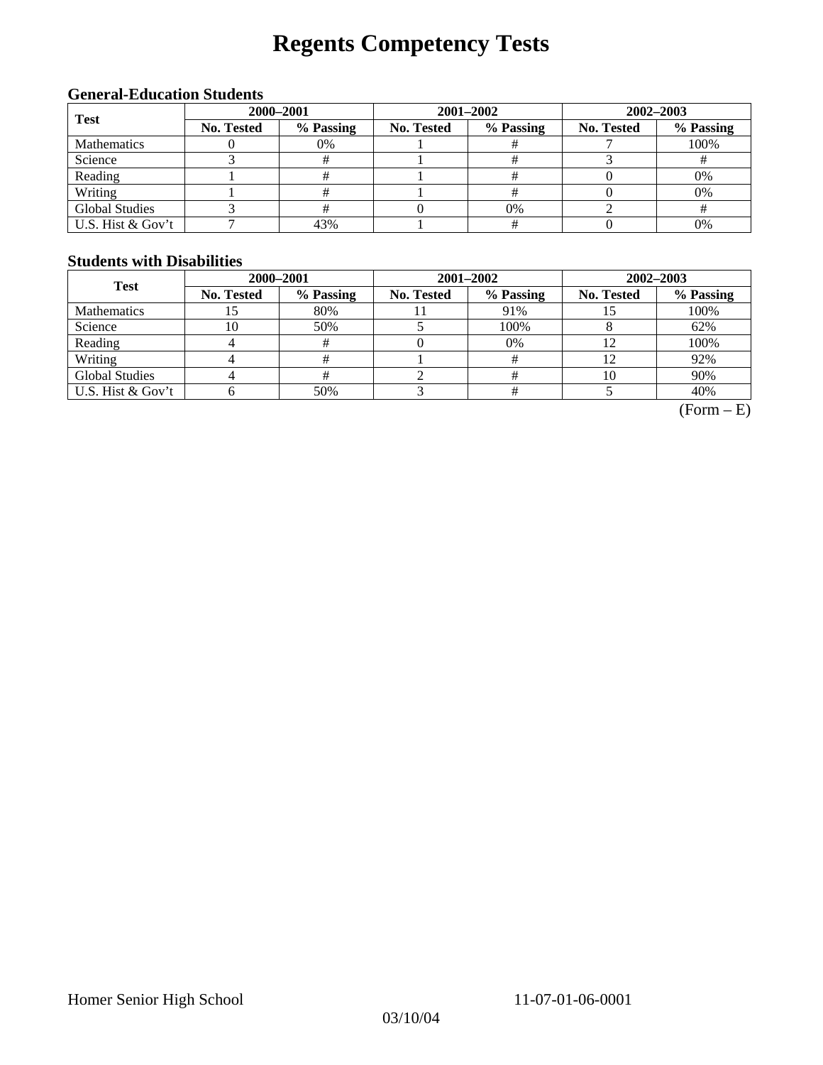# **Regents Competency Tests**

### **General-Education Students**

| <b>Test</b>           | 2000-2001  |           |            | 2001-2002 | 2002-2003        |           |  |
|-----------------------|------------|-----------|------------|-----------|------------------|-----------|--|
|                       | No. Tested | % Passing | No. Tested | % Passing | No. Tested<br>0% | % Passing |  |
| <b>Mathematics</b>    |            | 0%        |            |           |                  | 100%      |  |
| Science               |            |           |            |           |                  |           |  |
| Reading               |            |           |            |           |                  | 0%        |  |
| Writing               |            |           |            |           |                  | 0%        |  |
| <b>Global Studies</b> |            |           |            |           |                  |           |  |
| U.S. Hist & Gov't     |            | 43%       |            |           |                  | 0%        |  |

### **Students with Disabilities**

| <b>Test</b>           | 2000-2001         |           |            | 2001-2002 | 2002-2003         |           |  |
|-----------------------|-------------------|-----------|------------|-----------|-------------------|-----------|--|
|                       | <b>No. Tested</b> | % Passing | No. Tested | % Passing | <b>No. Tested</b> | % Passing |  |
| <b>Mathematics</b>    | IJ                | 80%       |            | 91%       |                   | 100%      |  |
| Science               | 10                | 50%       |            | 100%      |                   | 62%       |  |
| Reading               |                   | #         |            | $0\%$     |                   | 100%      |  |
| Writing               |                   |           |            |           | 12                | 92%       |  |
| <b>Global Studies</b> |                   |           |            |           | 10                | 90%       |  |
| U.S. Hist & Gov't     |                   | 50%       |            |           |                   | 40%       |  |

 $(Form - E)$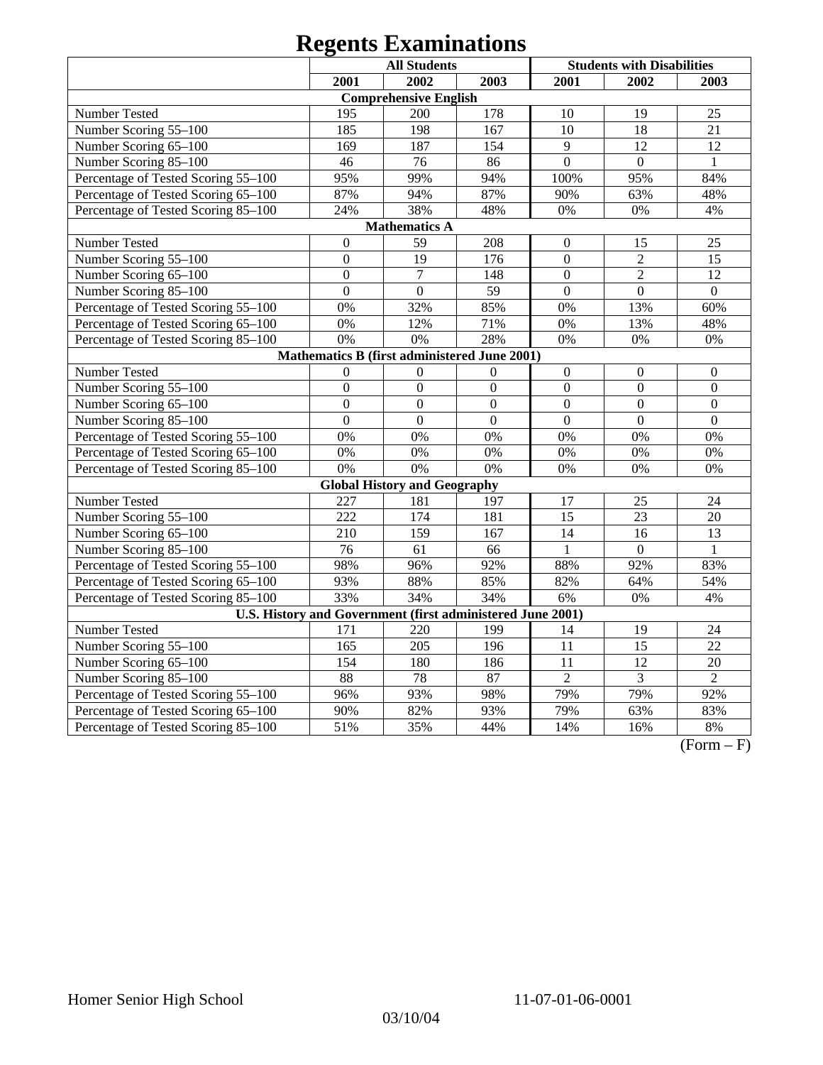|                                     |                      | <b>All Students</b>                                        |                  |                  | <b>Students with Disabilities</b> |                  |  |  |
|-------------------------------------|----------------------|------------------------------------------------------------|------------------|------------------|-----------------------------------|------------------|--|--|
|                                     | 2001                 | 2002                                                       | 2003             | 2001             | 2002                              | 2003             |  |  |
|                                     |                      | <b>Comprehensive English</b>                               |                  |                  |                                   |                  |  |  |
| <b>Number Tested</b>                | 195                  | 200                                                        | 178              | 10               | 19                                | 25               |  |  |
| Number Scoring 55-100               | 185                  | 198                                                        | 167              | 10               | 18                                | 21               |  |  |
| Number Scoring 65-100               | 169                  | 187                                                        | 154              | 9                | 12                                | 12               |  |  |
| Number Scoring 85-100               | 46                   | $\overline{76}$                                            | 86               | $\overline{0}$   | $\overline{0}$                    | $\mathbf{1}$     |  |  |
| Percentage of Tested Scoring 55-100 | 95%                  | 99%                                                        | 94%              | 100%             | 95%                               | 84%              |  |  |
| Percentage of Tested Scoring 65-100 | 87%                  | 94%                                                        | 87%              | 90%              | 63%                               | 48%              |  |  |
| Percentage of Tested Scoring 85-100 | 24%                  | 38%                                                        | 48%              | 0%               | $0\%$                             | 4%               |  |  |
|                                     | <b>Mathematics A</b> |                                                            |                  |                  |                                   |                  |  |  |
| Number Tested                       | $\boldsymbol{0}$     | 59                                                         | 208              | $\boldsymbol{0}$ | 15                                | 25               |  |  |
| Number Scoring 55-100               | $\overline{0}$       | 19                                                         | 176              | $\mathbf{0}$     | $\overline{2}$                    | 15               |  |  |
| Number Scoring 65-100               | $\boldsymbol{0}$     | $\overline{7}$                                             | 148              | $\overline{0}$   | $\overline{2}$                    | 12               |  |  |
| Number Scoring 85-100               | $\boldsymbol{0}$     | $\boldsymbol{0}$                                           | 59               | $\boldsymbol{0}$ | $\boldsymbol{0}$                  | $\boldsymbol{0}$ |  |  |
| Percentage of Tested Scoring 55-100 | 0%                   | 32%                                                        | 85%              | 0%               | 13%                               | 60%              |  |  |
| Percentage of Tested Scoring 65-100 | 0%                   | 12%                                                        | 71%              | 0%               | 13%                               | 48%              |  |  |
| Percentage of Tested Scoring 85-100 | 0%                   | 0%                                                         | 28%              | 0%               | $0\%$                             | $0\%$            |  |  |
|                                     |                      | Mathematics B (first administered June 2001)               |                  |                  |                                   |                  |  |  |
| Number Tested                       | $\overline{0}$       | $\mathbf{0}$                                               | $\boldsymbol{0}$ | $\boldsymbol{0}$ | $\mathbf{0}$                      | $\boldsymbol{0}$ |  |  |
| Number Scoring 55-100               | $\overline{0}$       | $\overline{0}$                                             | $\overline{0}$   | $\overline{0}$   | $\overline{0}$                    | $\mathbf{0}$     |  |  |
| Number Scoring 65-100               | $\overline{0}$       | $\overline{0}$                                             | $\overline{0}$   | $\overline{0}$   | $\overline{0}$                    | $\overline{0}$   |  |  |
| Number Scoring 85-100               | $\overline{0}$       | $\overline{0}$                                             | $\overline{0}$   | $\overline{0}$   | $\Omega$                          | $\Omega$         |  |  |
| Percentage of Tested Scoring 55-100 | 0%                   | 0%                                                         | 0%               | 0%               | 0%                                | 0%               |  |  |
| Percentage of Tested Scoring 65-100 | 0%                   | 0%                                                         | $0\%$            | 0%               | 0%                                | 0%               |  |  |
| Percentage of Tested Scoring 85-100 | 0%                   | 0%                                                         | 0%               | 0%               | 0%                                | 0%               |  |  |
|                                     |                      | <b>Global History and Geography</b>                        |                  |                  |                                   |                  |  |  |
| Number Tested                       | 227                  | 181                                                        | 197              | 17               | 25                                | 24               |  |  |
| Number Scoring 55-100               | 222                  | 174                                                        | 181              | $\overline{15}$  | 23                                | 20               |  |  |
| Number Scoring 65-100               | 210                  | 159                                                        | 167              | 14               | 16                                | 13               |  |  |
| Number Scoring 85-100               | 76                   | 61                                                         | 66               | $\mathbf{1}$     | $\mathbf{0}$                      | 1                |  |  |
| Percentage of Tested Scoring 55-100 | 98%                  | 96%                                                        | 92%              | 88%              | 92%                               | 83%              |  |  |
| Percentage of Tested Scoring 65-100 | 93%                  | 88%                                                        | 85%              | 82%              | 64%                               | 54%              |  |  |
| Percentage of Tested Scoring 85-100 | 33%                  | 34%                                                        | 34%              | 6%               | 0%                                | 4%               |  |  |
|                                     |                      | U.S. History and Government (first administered June 2001) |                  |                  |                                   |                  |  |  |
| Number Tested                       | 171                  | 220                                                        | 199              | 14               | 19                                | 24               |  |  |
| Number Scoring 55-100               | 165                  | 205                                                        | 196              | $\overline{11}$  | $\overline{15}$                   | $\overline{22}$  |  |  |
| Number Scoring 65-100               | 154                  | 180                                                        | 186              | 11               | $\overline{12}$                   | 20               |  |  |
| Number Scoring 85-100               | 88                   | 78                                                         | 87               | $\overline{2}$   | 3                                 | $\overline{2}$   |  |  |
| Percentage of Tested Scoring 55-100 | 96%                  | 93%                                                        | 98%              | 79%              | 79%                               | 92%              |  |  |
| Percentage of Tested Scoring 65-100 | 90%                  | 82%                                                        | 93%              | 79%              | 63%                               | 83%              |  |  |
| Percentage of Tested Scoring 85-100 | 51%                  | 35%                                                        | 44%              | 14%              | 16%                               | $8\%$            |  |  |

 $(Form - F)$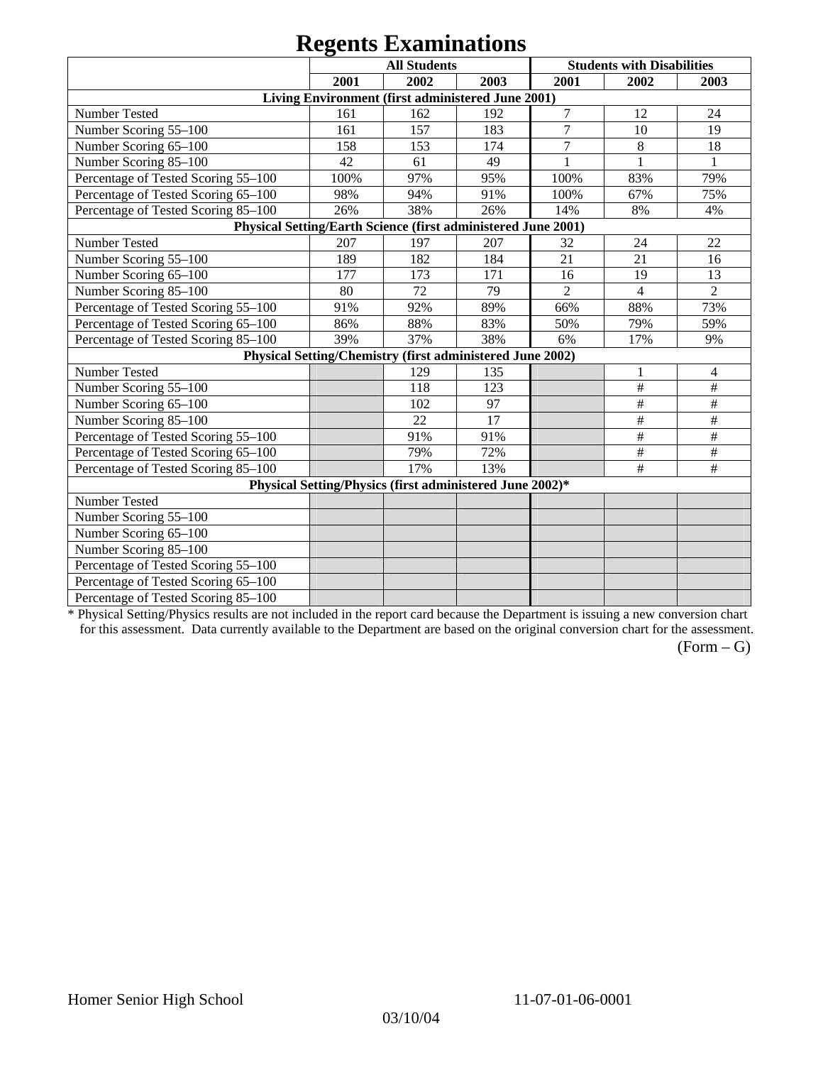|                                                               |      | $\sim$                                                    |      |                |                                   |                |
|---------------------------------------------------------------|------|-----------------------------------------------------------|------|----------------|-----------------------------------|----------------|
|                                                               |      | <b>All Students</b>                                       |      |                | <b>Students with Disabilities</b> |                |
|                                                               | 2001 | 2002                                                      | 2003 | 2001           | 2002                              | 2003           |
|                                                               |      | Living Environment (first administered June 2001)         |      |                |                                   |                |
| Number Tested                                                 | 161  | 162                                                       | 192  | $\overline{7}$ | 12                                | 24             |
| Number Scoring 55-100                                         | 161  | 157                                                       | 183  | $\overline{7}$ | 10                                | 19             |
| Number Scoring 65-100                                         | 158  | 153                                                       | 174  | $\overline{7}$ | 8                                 | 18             |
| Number Scoring 85-100                                         | 42   | 61                                                        | 49   |                |                                   |                |
| Percentage of Tested Scoring 55-100                           | 100% | 97%                                                       | 95%  | 100%           | 83%                               | 79%            |
| Percentage of Tested Scoring 65-100                           | 98%  | 94%                                                       | 91%  | 100%           | 67%                               | 75%            |
| Percentage of Tested Scoring 85-100                           | 26%  | 38%                                                       | 26%  | 14%            | 8%                                | 4%             |
| Physical Setting/Earth Science (first administered June 2001) |      |                                                           |      |                |                                   |                |
| Number Tested                                                 | 207  | 197                                                       | 207  | 32             | 24                                | 22             |
| Number Scoring 55-100                                         | 189  | 182                                                       | 184  | 21             | 21                                | 16             |
| Number Scoring 65-100                                         | 177  | 173                                                       | 171  | 16             | 19                                | 13             |
| Number Scoring 85-100                                         | 80   | 72                                                        | 79   | $\overline{2}$ | 4                                 | $\overline{2}$ |
| Percentage of Tested Scoring 55-100                           | 91%  | 92%                                                       | 89%  | 66%            | 88%                               | 73%            |
| Percentage of Tested Scoring 65-100                           | 86%  | 88%                                                       | 83%  | 50%            | 79%                               | 59%            |
| Percentage of Tested Scoring 85-100                           | 39%  | 37%                                                       | 38%  | 6%             | 17%                               | 9%             |
|                                                               |      | Physical Setting/Chemistry (first administered June 2002) |      |                |                                   |                |
| Number Tested                                                 |      | 129                                                       | 135  |                |                                   | 4              |
| Number Scoring 55-100                                         |      | 118                                                       | 123  |                | $\#$                              | $\#$           |
| Number Scoring 65-100                                         |      | 102                                                       | 97   |                | $\#$                              | $\#$           |
| Number Scoring 85-100                                         |      | 22                                                        | 17   |                | $\#$                              | $\#$           |
| Percentage of Tested Scoring 55-100                           |      | 91%                                                       | 91%  |                | $\#$                              | $\#$           |
| Percentage of Tested Scoring 65-100                           |      | 79%                                                       | 72%  |                | $\#$                              | $\#$           |
| Percentage of Tested Scoring 85-100                           |      | 17%                                                       | 13%  |                | $\#$                              | $\#$           |
|                                                               |      | Physical Setting/Physics (first administered June 2002)*  |      |                |                                   |                |
| Number Tested                                                 |      |                                                           |      |                |                                   |                |
| Number Scoring 55-100                                         |      |                                                           |      |                |                                   |                |
| Number Scoring 65-100                                         |      |                                                           |      |                |                                   |                |
| Number Scoring 85-100                                         |      |                                                           |      |                |                                   |                |
| Percentage of Tested Scoring 55-100                           |      |                                                           |      |                |                                   |                |
| Percentage of Tested Scoring 65-100                           |      |                                                           |      |                |                                   |                |
| Percentage of Tested Scoring 85-100                           |      |                                                           |      |                |                                   |                |

\* Physical Setting/Physics results are not included in the report card because the Department is issuing a new conversion chart for this assessment. Data currently available to the Department are based on the original conversion chart for the assessment.

 $(Form - G)$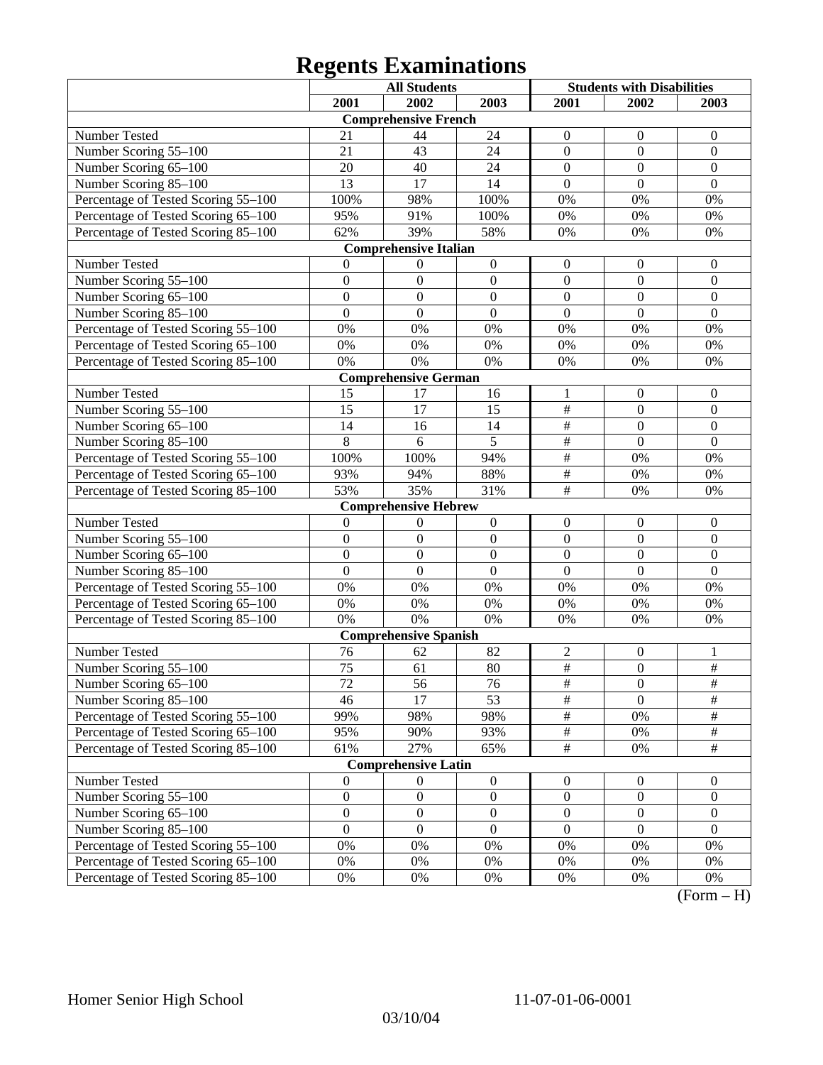|                                     |                  | <b>All Students</b>          |                  | <b>Students with Disabilities</b> |                  |                         |
|-------------------------------------|------------------|------------------------------|------------------|-----------------------------------|------------------|-------------------------|
|                                     | 2001             | 2002                         | 2003             | 2001                              | 2002             | 2003                    |
|                                     |                  | <b>Comprehensive French</b>  |                  |                                   |                  |                         |
| Number Tested                       | 21               | 44                           | 24               | $\mathbf{0}$                      | $\boldsymbol{0}$ | $\overline{0}$          |
| Number Scoring 55-100               | 21               | 43                           | 24               | $\overline{0}$                    | $\boldsymbol{0}$ | $\boldsymbol{0}$        |
| Number Scoring 65-100               | 20               | 40                           | 24               | $\overline{0}$                    | $\overline{0}$   | $\mathbf{0}$            |
| Number Scoring 85-100               | $\overline{13}$  | 17                           | 14               | $\overline{0}$                    | $\overline{0}$   | $\overline{0}$          |
| Percentage of Tested Scoring 55-100 | 100%             | 98%                          | 100%             | 0%                                | 0%               | 0%                      |
| Percentage of Tested Scoring 65-100 | 95%              | 91%                          | 100%             | 0%                                | 0%               | 0%                      |
| Percentage of Tested Scoring 85-100 | 62%              | 39%                          | 58%              | 0%                                | 0%               | 0%                      |
|                                     |                  | <b>Comprehensive Italian</b> |                  |                                   |                  |                         |
| Number Tested                       | $\Omega$         | 0                            | $\boldsymbol{0}$ | $\boldsymbol{0}$                  | $\boldsymbol{0}$ | $\boldsymbol{0}$        |
| Number Scoring 55-100               | $\overline{0}$   | $\mathbf{0}$                 | $\mathbf{0}$     | $\overline{0}$                    | $\overline{0}$   | $\boldsymbol{0}$        |
| Number Scoring 65-100               | $\overline{0}$   | $\mathbf{0}$                 | $\mathbf{0}$     | $\overline{0}$                    | $\overline{0}$   | $\boldsymbol{0}$        |
| Number Scoring 85-100               | $\overline{0}$   | $\boldsymbol{0}$             | $\mathbf{0}$     | $\overline{0}$                    | $\overline{0}$   | $\mathbf{0}$            |
| Percentage of Tested Scoring 55-100 | $0\%$            | 0%                           | 0%               | 0%                                | 0%               | 0%                      |
| Percentage of Tested Scoring 65-100 | $0\%$            | 0%                           | 0%               | 0%                                | 0%               | 0%                      |
| Percentage of Tested Scoring 85-100 | 0%               | 0%                           | 0%               | 0%                                | 0%               | 0%                      |
|                                     |                  | <b>Comprehensive German</b>  |                  |                                   |                  |                         |
| Number Tested                       | 15               | 17                           | 16               | 1                                 | $\boldsymbol{0}$ | $\boldsymbol{0}$        |
| Number Scoring 55-100               | 15               | 17                           | 15               | $\overline{\#}$                   | $\boldsymbol{0}$ | $\boldsymbol{0}$        |
| Number Scoring 65-100               | 14               | 16                           | 14               | $\overline{\#}$                   | $\overline{0}$   | $\overline{0}$          |
| Number Scoring 85-100               | 8                | 6                            | $\overline{5}$   | $\overline{\#}$                   | $\overline{0}$   | $\overline{0}$          |
| Percentage of Tested Scoring 55-100 | 100%             | 100%                         | 94%              | $\overline{\#}$                   | 0%               | 0%                      |
| Percentage of Tested Scoring 65-100 | 93%              | 94%                          | 88%              | $\overline{\#}$                   | 0%               | 0%                      |
| Percentage of Tested Scoring 85-100 | 53%              | 35%                          | 31%              | $\overline{\#}$                   | 0%               | 0%                      |
|                                     |                  | <b>Comprehensive Hebrew</b>  |                  |                                   |                  |                         |
| Number Tested                       | $\mathbf{0}$     | $\theta$                     | $\boldsymbol{0}$ | $\boldsymbol{0}$                  | $\boldsymbol{0}$ | $\boldsymbol{0}$        |
| Number Scoring 55-100               | $\overline{0}$   | $\mathbf{0}$                 | $\mathbf{0}$     | $\overline{0}$                    | $\overline{0}$   | $\mathbf{0}$            |
| Number Scoring 65-100               | $\overline{0}$   | $\mathbf{0}$                 | $\mathbf{0}$     | $\overline{0}$                    | $\overline{0}$   | $\boldsymbol{0}$        |
| Number Scoring 85-100               | $\overline{0}$   | $\boldsymbol{0}$             | $\mathbf{0}$     | $\overline{0}$                    | $\overline{0}$   | $\mathbf{0}$            |
| Percentage of Tested Scoring 55-100 | $0\%$            | 0%                           | 0%               | 0%                                | 0%               | 0%                      |
| Percentage of Tested Scoring 65-100 | $0\%$            | 0%                           | 0%               | 0%                                | 0%               | 0%                      |
| Percentage of Tested Scoring 85-100 | 0%               | 0%                           | 0%               | 0%                                | 0%               | 0%                      |
|                                     |                  | <b>Comprehensive Spanish</b> |                  |                                   |                  |                         |
| Number Tested                       | 76               | 62                           | 82               | $\sqrt{2}$                        | $\boldsymbol{0}$ | 1                       |
| Number Scoring 55-100               | $\overline{75}$  | 61                           | 80               | $\overline{\#}$                   | $\overline{0}$   | $\frac{1}{2}$           |
| Number Scoring 65–100               | $\overline{72}$  | 56                           | 76               | $\overline{\#}$                   | $\theta$         | $\overline{\#}$         |
| Number Scoring 85-100               | 46               | 17                           | 53               | $\overline{\#}$                   | $\overline{0}$   | $\frac{1}{2}$           |
| Percentage of Tested Scoring 55-100 | 99%              | 98%                          | 98%              | $\frac{1}{2}$                     | 0%               | $\#$                    |
| Percentage of Tested Scoring 65-100 | 95%              | 90%                          | 93%              | $\frac{1}{2}$                     | 0%               | $\frac{1}{2}$           |
| Percentage of Tested Scoring 85-100 | 61%              | 27%                          | 65%              | $\overline{\#}$                   | $0\%$            | $\frac{1}{2}$           |
|                                     |                  | <b>Comprehensive Latin</b>   |                  |                                   |                  |                         |
| Number Tested                       | $\mathbf{0}$     | $\boldsymbol{0}$             | $\boldsymbol{0}$ | $\boldsymbol{0}$                  | $\boldsymbol{0}$ | $\boldsymbol{0}$        |
| Number Scoring 55-100               | $\boldsymbol{0}$ | $\boldsymbol{0}$             | $\boldsymbol{0}$ | $\boldsymbol{0}$                  | $\boldsymbol{0}$ | $\boldsymbol{0}$        |
| Number Scoring 65-100               | $\boldsymbol{0}$ | $\boldsymbol{0}$             | $\boldsymbol{0}$ | $\boldsymbol{0}$                  | $\boldsymbol{0}$ | $\overline{0}$          |
| Number Scoring 85-100               | $\overline{0}$   | $\boldsymbol{0}$             | $\mathbf{0}$     | $\boldsymbol{0}$                  | $\boldsymbol{0}$ | $\overline{0}$          |
| Percentage of Tested Scoring 55-100 | $0\%$            | 0%                           | 0%               | 0%                                | $0\%$            | 0%                      |
| Percentage of Tested Scoring 65-100 | 0%               | 0%                           | $0\%$            | 0%                                | 0%               | 0%                      |
| Percentage of Tested Scoring 85-100 | $0\%$            | $0\%$                        | 0%               | 0%                                | 0%               | $0\%$<br>$\mathbf{T}$ . |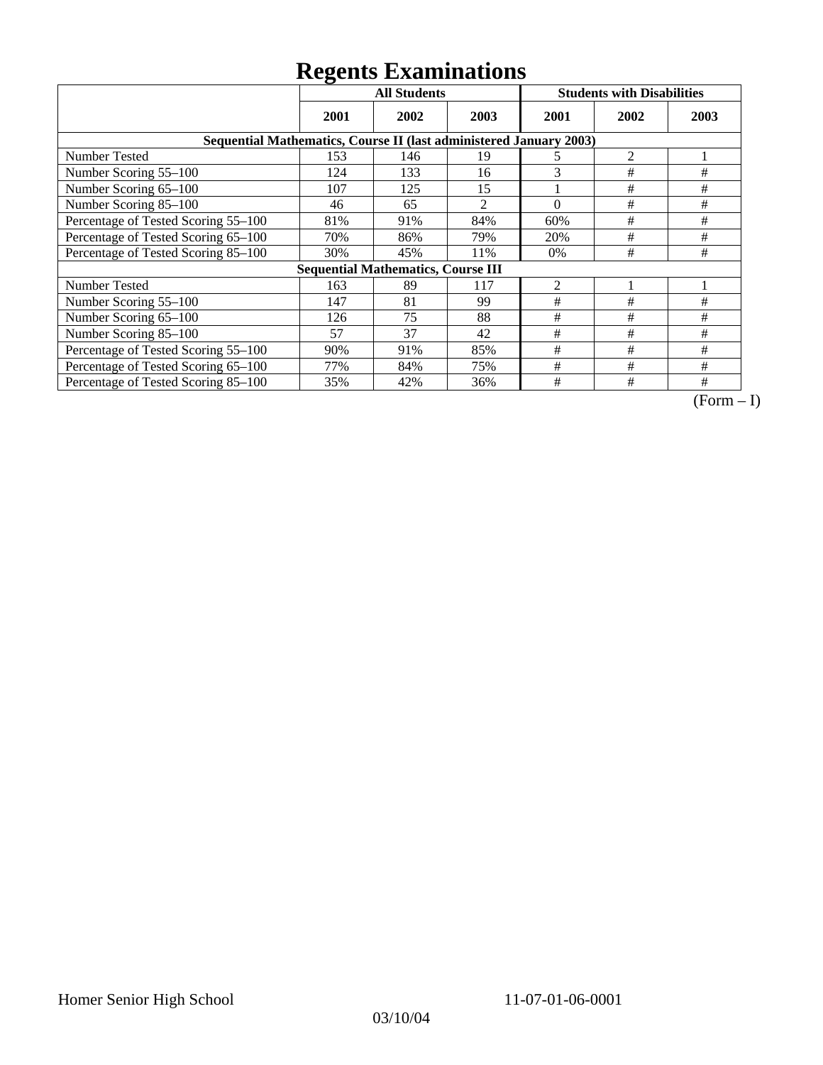|                                                                    | ັ<br><b>All Students</b> |                                           |                |                | <b>Students with Disabilities</b> |      |
|--------------------------------------------------------------------|--------------------------|-------------------------------------------|----------------|----------------|-----------------------------------|------|
|                                                                    | 2001                     | 2002                                      | 2003           | 2001           | 2002                              | 2003 |
| Sequential Mathematics, Course II (last administered January 2003) |                          |                                           |                |                |                                   |      |
| <b>Number Tested</b>                                               | 153                      | 146                                       | 19             | 5              | $\overline{c}$                    |      |
| Number Scoring 55-100                                              | 124                      | 133                                       | 16             | 3              | #                                 | #    |
| Number Scoring 65-100                                              | 107                      | 125                                       | 15             |                | #                                 | #    |
| Number Scoring 85-100                                              | 46                       | 65                                        | $\overline{2}$ | $\theta$       | #                                 | #    |
| Percentage of Tested Scoring 55-100                                | 81%                      | 91%                                       | 84%            | 60%            | #                                 | #    |
| Percentage of Tested Scoring 65-100                                | 70%                      | 86%                                       | 79%            | 20%            | #                                 | $\#$ |
| Percentage of Tested Scoring 85-100                                | 30%                      | 45%                                       | 11%            | 0%             | #                                 | #    |
|                                                                    |                          | <b>Sequential Mathematics, Course III</b> |                |                |                                   |      |
| <b>Number Tested</b>                                               | 163                      | 89                                        | 117            | $\overline{2}$ |                                   |      |
| Number Scoring 55-100                                              | 147                      | 81                                        | 99             | #              | #                                 | #    |
| Number Scoring 65-100                                              | 126                      | 75                                        | 88             | #              | #                                 | #    |
| Number Scoring 85-100                                              | 57                       | 37                                        | 42             | #              | #                                 | #    |
| Percentage of Tested Scoring 55-100                                | 90%                      | 91%                                       | 85%            | #              | #                                 | #    |
| Percentage of Tested Scoring 65-100                                | 77%                      | 84%                                       | 75%            | #              | #                                 | #    |
| Percentage of Tested Scoring 85-100                                | 35%                      | 42%                                       | 36%            | #              | #                                 | #    |

 $\overline{(Form-I)}$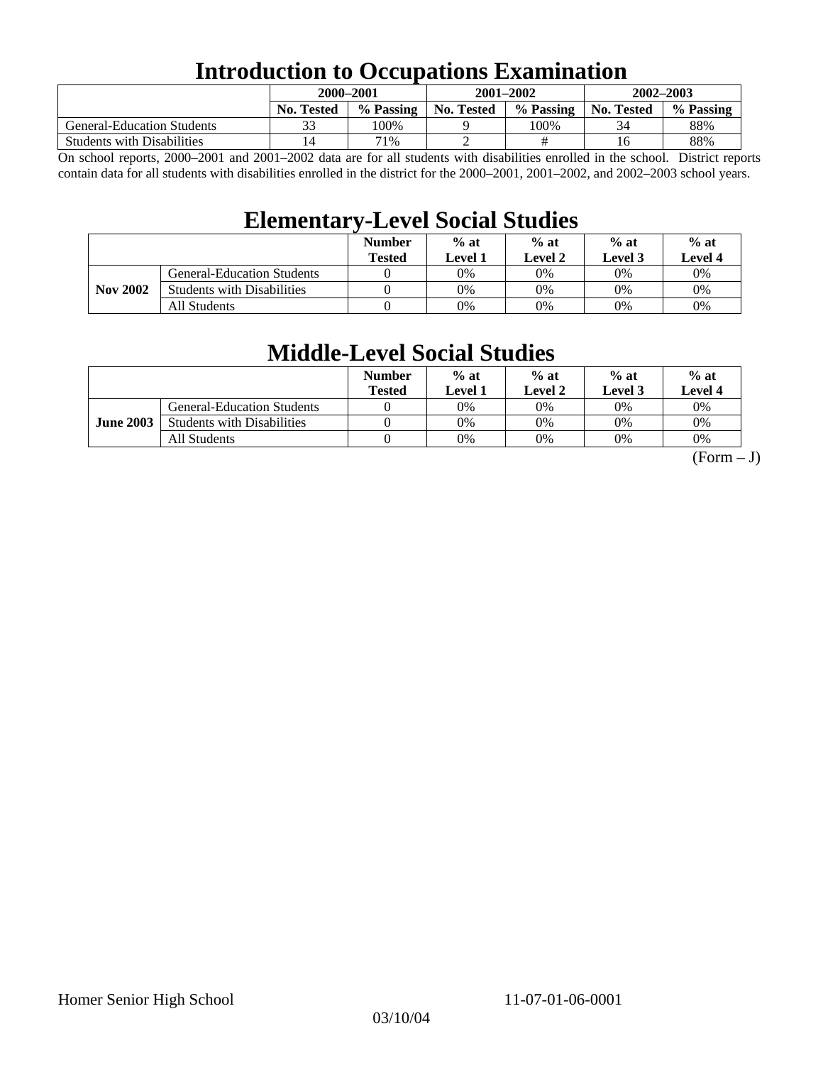## **Introduction to Occupations Examination**

|                                   | 2000–2001         |           |            | $2001 - 2002$ | $2002 - 2003$     |           |  |
|-----------------------------------|-------------------|-----------|------------|---------------|-------------------|-----------|--|
|                                   | <b>No. Tested</b> | % Passing | No. Tested | % Passing     | <b>No. Tested</b> | % Passing |  |
| <b>General-Education Students</b> |                   | 100%      |            | 100%          | 34                | 88%       |  |
| <b>Students with Disabilities</b> | <b>4</b>          | 71%       | ∸          |               | 16                | 88%       |  |

On school reports, 2000–2001 and 2001–2002 data are for all students with disabilities enrolled in the school. District reports contain data for all students with disabilities enrolled in the district for the 2000–2001, 2001–2002, and 2002–2003 school years.

### **Elementary-Level Social Studies**

|                 |                                   | <b>Number</b><br><b>Tested</b> | $%$ at<br>Level 1 | $%$ at<br>$%$ at<br>Level 3<br>Level 2 |    | $%$ at<br>Level 4 |
|-----------------|-----------------------------------|--------------------------------|-------------------|----------------------------------------|----|-------------------|
| <b>Nov 2002</b> | <b>General-Education Students</b> |                                | 0%                | 0%                                     | 0% | 0%                |
|                 | <b>Students with Disabilities</b> |                                | 0%                | 0%                                     | 0% | $0\%$             |
|                 | All Students                      |                                | 0%                | 0%                                     | 0% | $0\%$             |

### **Middle-Level Social Studies**

|                  |                                   | <b>Number</b><br>Tested | $%$ at<br>evel 1. | $%$ at<br>Level 2 | $%$ at<br>Level 3 | $%$ at<br>Level 4 |
|------------------|-----------------------------------|-------------------------|-------------------|-------------------|-------------------|-------------------|
| <b>June 2003</b> | <b>General-Education Students</b> |                         | 0%                | 0%                | $0\%$             | $0\%$             |
|                  | <b>Students with Disabilities</b> |                         | 0%                | 0%                | 0%                | 0%                |
|                  | All Students                      |                         | 0%                | 0%                | 0%                | 0%                |

 $(Form - J)$